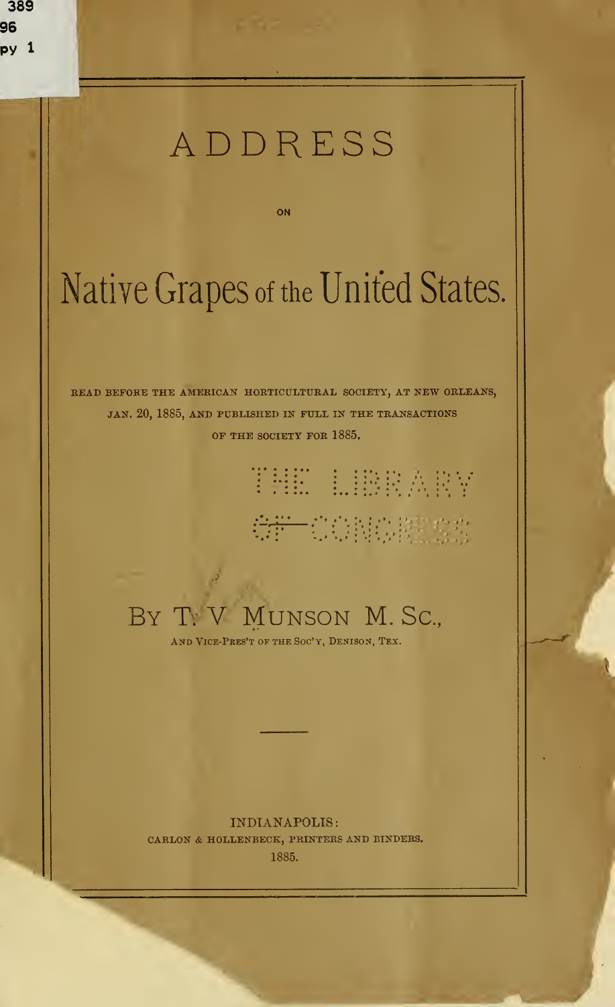## ADDRESS

ON

# Native Grapes of the United States.

READ BEFORE THE AMERICAN HORTICULTURAL SOCIETY, AT NEW ORLEANS, JAN. 20, 1885, AND PUBLISHED IN FULL IN THE TRANSACTIONS OF THE SOCIETY FOR 1885.

# THE LIBRARY

## GF CONCERTS

## BY T. V MUNSON M. Sc.,

AND VICE-PRES'T OF THE SOC'Y, DENISON, TEX.

#### INDIANAPOLIS

CARLON & HOLLENBECK, PRINTERS AND BINDERS. 1885.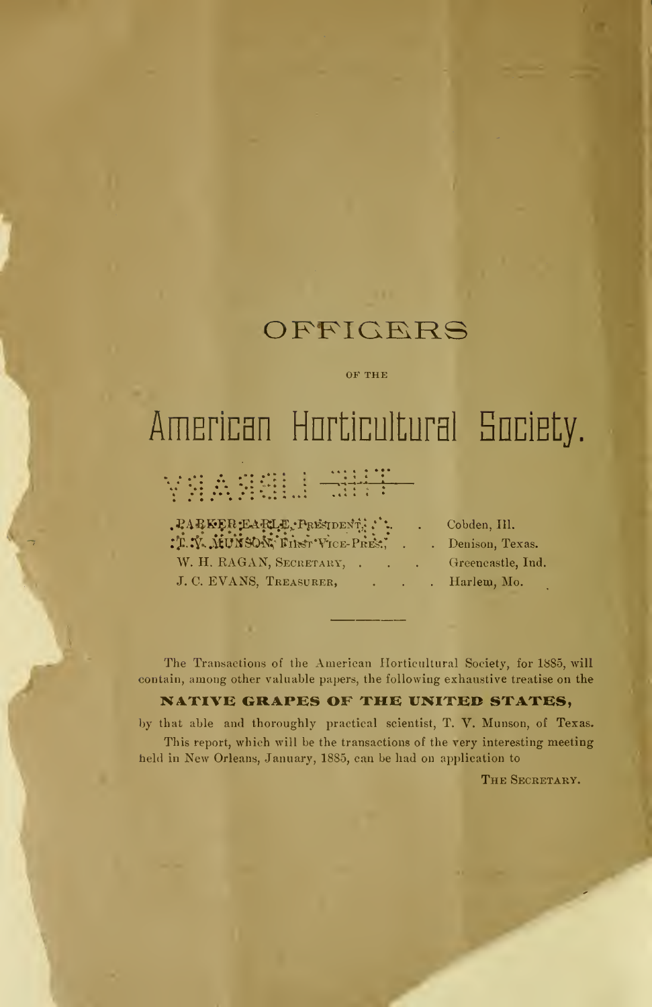## **OFFICERS**

OF THE

# American Horticultural Society.

## **YAASSELL SHIP**

 $\mathbf{P}\mathbf{A}\mathbf{B}\mathbf{K}\mathbf{E}\mathbf{R}\mathbf{E}\mathbf{A}\mathbf{R}\mathbf{L}\mathbf{E}$ ,  $\mathbf{P}_\mathbf{R}\mathbf{E}\mathbf{S}\mathbf{I}\mathbf{D}\mathbf{E}\mathbf{N}\mathbf{T}$ ,  $\mathbf{E}$ ,  $\mathbf{C}\mathbf{A}\mathbf{C}\mathbf{C}\mathbf{C}$ ,  $\mathbf{H}$ ,  $\mathbf{D}\mathbf{C}\mathbf{C}$ : T. Y. MUNSON, Filst Vice- Pres., . . Denison, Texas. W. H. RAGAN, SECRETARY, . . . Greencastle, Ind. J. C. EVANS, TREASURER, . . . Harlem, Mo.

The Transactions of the American Horticultural Society, for 1885, will contain, among other valuable papers, the following exhaustive treatise on the

#### NATIVE GRAPES OF THE UNITED STATES,

by that able and thoroughly practical scientist, T. V. Munson, of Texas. This report, which will be the transactions of the very interesting meeting held in New Orleans, January, 1885, can be had on application to

THE SECRETARY.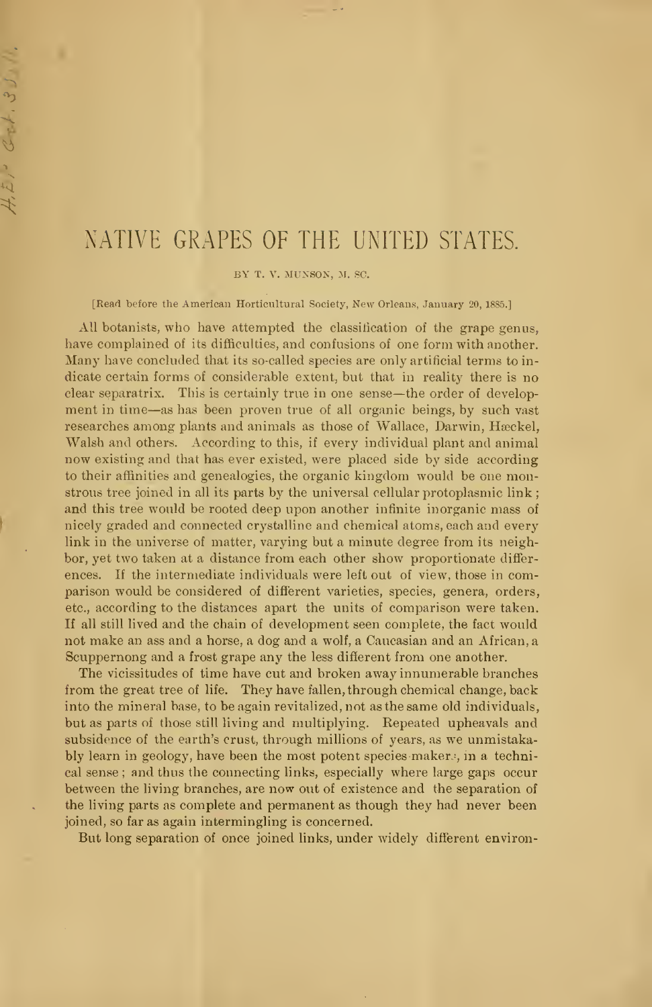### NATIVE GRAPES OF THE UNITED STATES.

BY T. V. MUNSON, M. SC.

[Read before the American Horticultural Society, New Orleans, January 20, 1885.]

All botanists, who have attempted the classification of the grape genus, have complained of its difficulties, and confusions of one form with another. Many have concluded that its so-called species are only artificial terms to in dicate certain forms of considerable extent, but that in reality there is no clear separatrix. This is certainly true in one sense —the order of development in time—as has been proven true of all organic beings, by such vast researches among plants and animals as those of Wallace, Darwin, Hæckel, Walsh and others. According to this, if every individual plant and animal now existing and that has ever existed, were placed side by side according to their affinities and genealogies, the organic kingdom would be one monstrous tree joined in all its parts by the universal cellular protoplasmic link ; and this tree would be rooted deep upon another infinite inorganic mass of nicely graded and connected crystalline and chemical atoms, each and every link in the universe of matter, varying but a minute degree from its neighbor, yet two taken at a distance from each other show proportionate differ ences. If the intermediate individuals were left out of view, those in comparison would be considered of different varieties, species, genera, orders, etc., according to the distances apart the units of comparison were taken. If all still lived and the chain of development seen complete, the fact would not make an ass and a horse, a dog and a wolf, a Caucasian and an African, a Scuppernong and a frost grape any the less different from one another.

The vicissitudes of time have cut and broken away innumerable branches from the great tree of life. They have fallen, through chemical change, back into the mineral base, to be again revitalized, not as the same old individuals, but as parts of those still living and multiplying. Repeated upheavals and subsidence of the earth's crust, through millions of years, as we unmistakably learn in geology, have been the most potent species makers, in a technical sense ; and thus the connecting links, especially where large gaps occur between the living branches, are now out of existence and the separation of the living parts as complete and permanent as though they had never been joined, so far as again intermingling is concerned.

But long separation of once joined links, under widely different environ-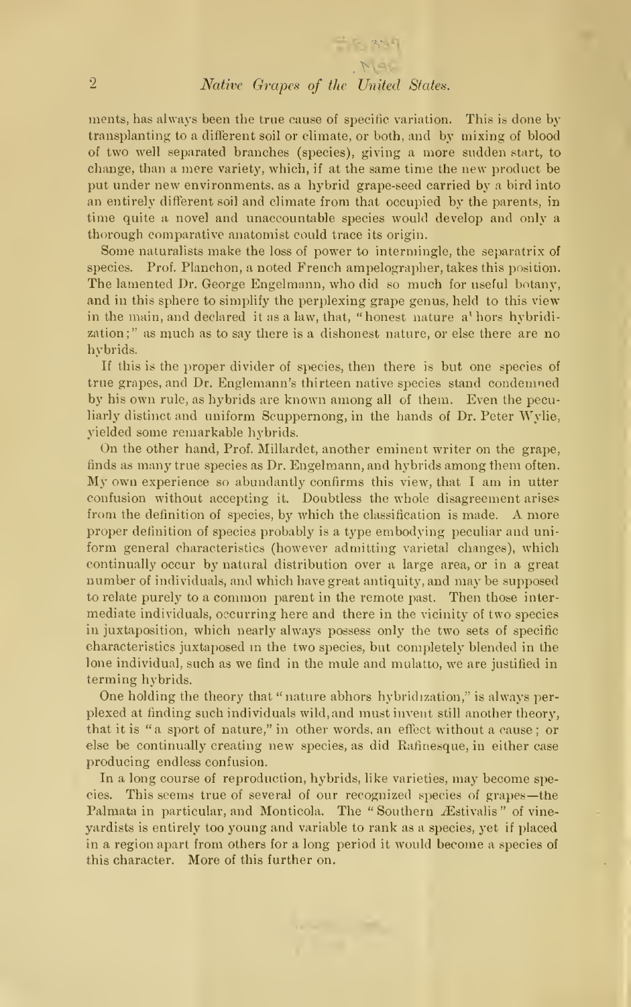#### 2 Native Grapes of the United States.

 $P_{\mathcal{M}}$ 

ments, has always been the true cause of specific variation. This is done by transplanting to a different soil or climate, or both, and by mixing of blood of two well separated branches (species), giving a more sudden start, to change, than a mere variety, which, if at the same time the new product be put under new environments, as a hybrid grape-seed carried by a bird into an entirely different soil and climate from that occupied by the parents, in time quite a novel and unaccountable species would develop and only a thorough comparative anatomist could trace its origin.

Some naturalists make the loss of power to intermingle, the separatrix of species. Prof. Planchon, a noted French ampelographer, takes this position. The lamented Dr. George Engelmann, who did so much for useful botany, and in this sphere to simplify the perplexing grape genus, held to this view in the main, and declared it as a law, that, "honest nature a' hors hybridization;" as much as to say there is a dishonest nature, or else there are no hybrids.

If this is the proper divider of species, then there is but one species of true grapes, and Dr. Englemann's thirteen native species stand condemned by his own rule, as hybrids are known among all of them. Even the peculiarly distinct and uniform Scuppernong, in the hands of Dr. Peter Wylie, yielded some remarkable hybrids.

On the other hand, Prof. Millardet, another eminent writer on the grape, finds as many true species as Dr. Engelmann, and hybrids among them often. My own experience so abundantly confirms this view, that <sup>I</sup> am in utter confusion without accepting it. Doubtless the whole disagreement arises from the definition of species, by which the classification is made. A more proper definition of species probably is a type embodying peculiar and uni form general characteristics (however admitting varietal changes), which continually occur by natural distribution over a large area, or in a great number of individuals, and which have great antiquity, and may be supposed to relate purely to <sup>a</sup> common parent in the remote past. Then those inter mediate individuals, occurring here and there in the vicinity of two species in juxtaposition, which nearly always possess only the two sets of specific characteristics juxtaposed in the two species, but completely blended in the lone individual, such as we find in the mule and mulatto, we are justified in terming hybrids.

One holding the theory that " nature abhors hybridization," is always per plexed at finding such individuals wild, and must invent still another theory, that it is "a sport of nature," in other words, an effect without a cause ; or else be continually creating new species, as did Rafinesque, in either case producing endless confusion.

In a long course of reproduction, hybrids, like varieties, may become species. This seems true of several of our recognized species of grapes—the Palmata in particular, and Monticola. The "Southern Æstivalis" of vineyardists is entirely too young and variable to rank as a species, yet if placed in a region apart from others for a long period it would become a species of this character. More of this further on.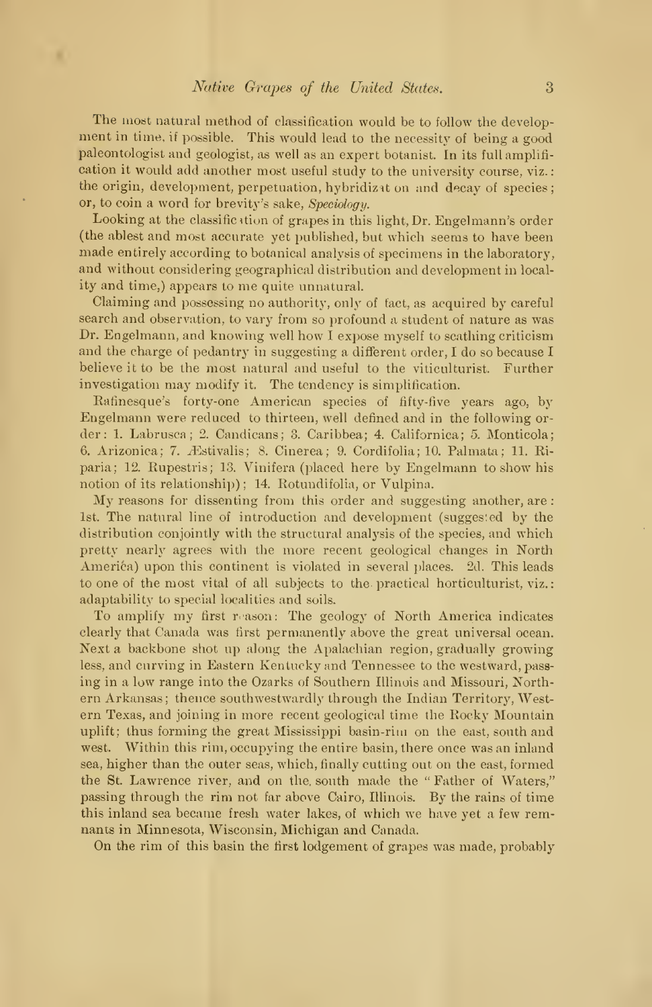The most natural method of classification would be to follow the development in time, if possible. This would lead to the necessity of being <sup>a</sup> good paleontologist and geologist, as well as an expert botanist. In its full amplifi cation it would add another most useful study to the university course, viz. the origin, development, perpetuation, hybridizat on and decay of species; or, to coin a word for brevity's sake, Speciology.

Looking at the classification of grapes in this light, Dr. Engelmann's order (the ablest and most accurate yet published, but which seems to have been made entirely according to botanical analysis of specimens in the laboratory, and without considering geographical distribution and development in local ity and time,) appears to me quite unnatural.

Claiming and possessing no authority, only of fact, as acquired by careful search and observation, to vary from so profound a student of nature as was Dr. Engelmann, and knowing well how <sup>I</sup> expose myself to scathing criticism and the charge of pedantry in suggesting a different order, <sup>I</sup> do so because <sup>I</sup> believe it to be the most natural and useful to the viticulturist. Further investigation may modify it. The tendency is simplification.

Rafinesque's forty-one American species of fifty-five years ago, by Engelmann were reduced to thirteen, well defined and in the following or der : 1. Labrusca; 2. Candicans; 3. Caribbea; 4. Californica; 5. Monticola; 6. Arizonica; 7. *E*stivalis; 8. Cinerea; 9. Cordifolia; 10. Palmata; 11. Riparia; 12. Rupestris; 13. Vinifera (placed here by Engelmann to show his notion of its relationship) ; 14. Rotundifolia, or Vulpina.

My reasons for dissenting from this order and suggesting another, are : 1st. The natural line of introduction and development (suggested by the distribution conjointly with the structural analysis of the species, and which pretty nearly agrees with the more recent geological changes in North America) upon this continent is violated in several places. 2d. This leads to one of the most vital of all subjects to the- practical horticulturist, viz. adaptability to special localities and soils.

To amplify my first reason: The geology of North America indicates clearly that Canada was first permanently above the great universal ocean. Next a backbone shot up along the Apalachian region, gradually growing less, and curving in Eastern Kentucky and Tennessee to the westward, pass ing in a low range into the Ozarks of Southern Illinois and Missouri, Northern Arkansas; thence southwestwardly through the Indian Territory, Western Texas, and joining in more recent geological time the Rocky Mountain uplift; thus forming the great Mississippi basin-rim on the east, south and west. Within this rim, occupying the entire basin, there once was an inland sea, higher than the outer seas, which, finally cutting out on the east, formed the St. Lawrence river, and on the. south made the " Father of Waters," passing through the rim not far above Cairo, Illinois. By the rains of time this inland sea became fresh water lakes, of which we have yet a few remnants in Minnesota, Wisconsin, Michigan and Canada.

On the rim of this basin the first lodgement of grapes was made, probably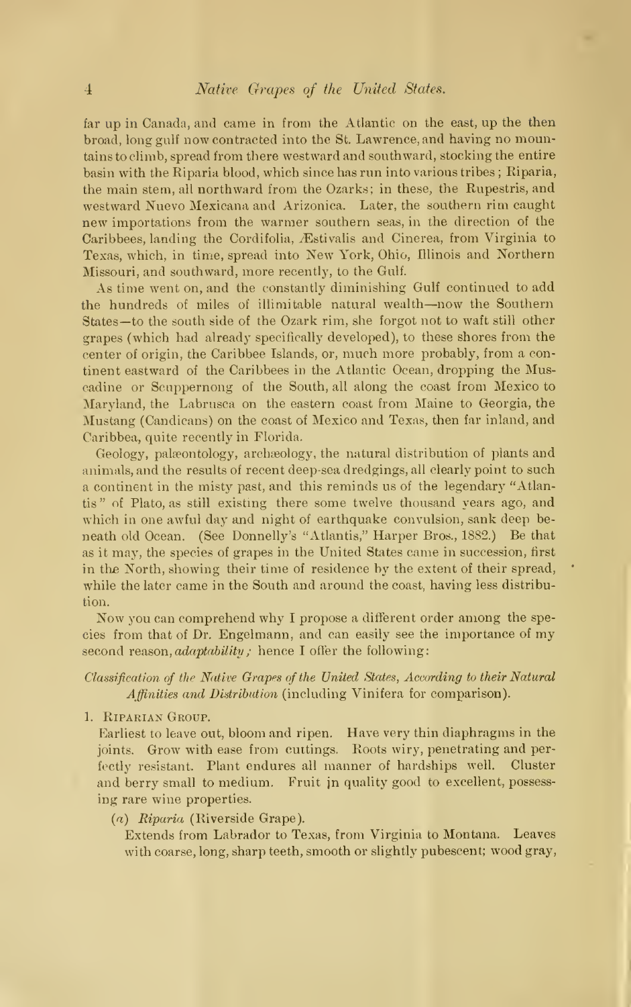far up in Canada, and came in from the Atlantic on the east, up the then broad, long gulf now contracted into the St. Lawrence, and having no mountains to climb, spread from there westward and southward, stocking the entire basin with the Riparia blood, which since has run into various tribes ; Riparia, the main stem, all northward from the Ozarks; in these, the Rupestris, and westward Nuevo Mexicana and Arizonica. Later, the southern rim caught new importations from the warmer southern seas, in the direction of the Caribbees, landing the Cordifolia, Æstivalis and Cinerea, from Virginia to Texas, which, in time, spread into New York, Ohio, Illinois and Northern Missouri, and southward, more recently, to the Gulf.

As time went on, and the constantly diminishing Gulf continued to add the hundreds of miles of illimitable natural wealth—now the Southern States—to the south side of the Ozark rim, she forgot not to waft still other grapes (which had already specifically developed), to these shores from the center of origin, the Caribbee Islands, or, much more probably, from a continent eastward of the Caribbees in the Atlantic Ocean, dropping the Muscadine or Scuppernong of the South, all along the coast from Mexico to Maryland, the Labrusca on the eastern coast from Maine to Georgia, the Mustang (Candicans) on the coast of Mexico and Texas, then far inland, and Caribbea, quite recently in Florida.

Geology, palaeontology, archaeology, the natural distribution of plants and animals, and the results of recent deep-sea dredgings, all clearly point to such a continent in the misty past, and this reminds us of the legendary "Atlantis " of Plato, as still existing there some twelve thousand years ago, and which in one awful day and night of earthquake convulsion, sank deep beneath old Ocean. (See Donnelly's "Atlantis," Harper Bros., 1882.) Be that as it may, the species of grapes in the United States came in succession, first in the North, showing their time of residence by the extent of their spread, while the later came in the South and around the coast, having less distribution.

Now you can comprehend why <sup>I</sup> propose <sup>a</sup> different order among the species from that of Dr. Engelmann, and can easily see the importance of my second reason, *adaptability*; hence I offer the following:

Classification of the Native Grapes of the United States, According to their Natural Affinities and Distribution (including Vinifera for comparison).

1. Riparian Group.

Earliest to leave out, bloom and ripen. Have very thin diaphragms in the joints. Grow with ease from cuttings. Roots wiry, penetrating and perfectly resistant. Plant endures all manner of hardships well. Cluster and berry small to medium. Fruit jn quality good to excellent, possess ing rare wine properties.

(a) Riparia (Riverside Grape).

Extends from Labrador to Texas, from Virginia to Montana. Leaves with coarse, long, sharp teeth, smooth or slightly pubescent; wood gray,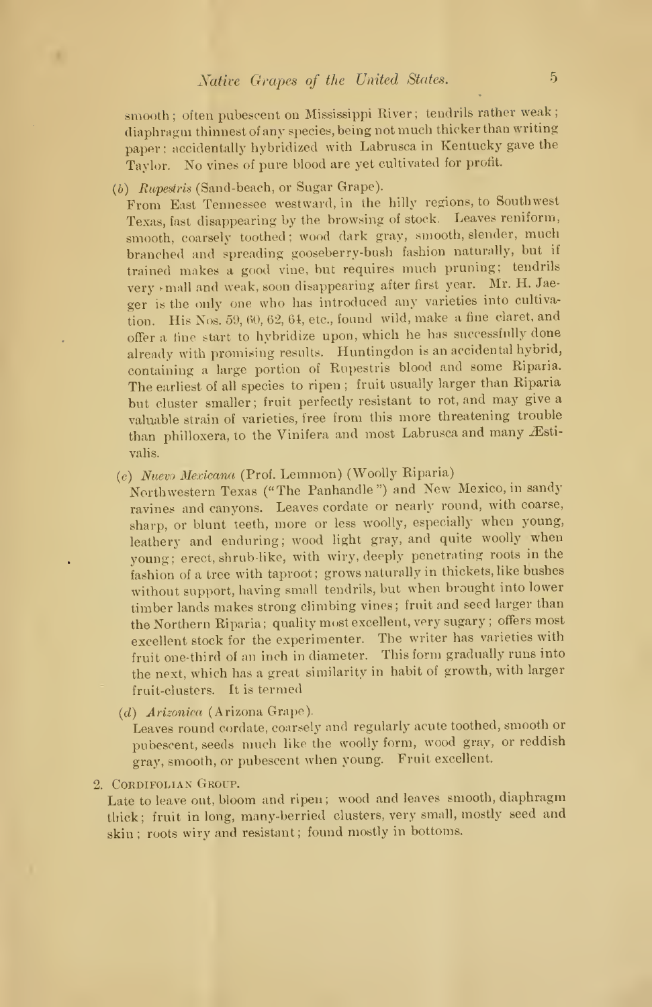smooth; often pubescent on Mississippi River; tendrils rather weak; diaphragm thinnest of any species, being not much thicker than writing paper; accidentally hybridized with Labrusca in Kentucky gave the Taylor. No vines of pure blood are yet cultivated for profit.

(b) Rupestris (Sand-beach, or Sugar Grape).

From East Tennessee westward, in the hilly regions, to Southwest Texas, fast disappearing by the browsing of stock. Leaves reniform, smooth, coarsely toothed; wood dark gray, smooth, slender, much branched and spreading gooseberry-bush fashion naturally, but if trained makes <sup>a</sup> good vine, but requires much pruning; tendrils very mall and weak, soon disappearing after first year. Mr. H. Jaeger is the only one who has introduced any varieties into cultivation. His Nos. 59, 60, 62, 61, etc., found wild, make <sup>a</sup> fine claret, and offer <sup>a</sup> tine start to hybridize upon, which he has successfully done already with promising results. Huntingdon is an accidental hybrid, containing <sup>a</sup> large portion of Rupestris blood and some Riparia. The earliest of all species to ripen ; fruit usually larger than Riparia but cluster smaller; fruit perfectly resistant to rot, and may give <sup>a</sup> valuable strain of varieties, free from this more threatening trouble than philloxera, to the Vinifera and most Labrusca and many Æstivalis.

(c) Nuevo Mexicana (Prof. Lemmon) (Woolly Riparia)

Northwestern Texas ("The Panhandle") and New Mexico, in sandy ravines and canyons. Leaves cordate or nearly round, with coarse, sharp, or blunt teeth, more or less woolly, especially when young, leathery and enduring; wood light gray, and quite woolly when young; erect, shrub like, with wiry, deeply penetrating roots in the fashion of <sup>a</sup> tree with taproot; grows naturally in thickets, like bushes without support, having small tendrils, but when brought into lower timber lands makes strong climbing vines; fruit and seed larger than the Northern Riparia; quality most excellent, very sugary ; offers most excellent stock for the experimenter. The writer has varieties with fruit one-third of an inch in diameter. This form gradually runs into the next, which has a great similarity in habit of growth, with larger fruit-clusters. It is termed

(d) Arizonira (Arizona Grape).

Leaves round cordate, coarsely and regularly acute toothed, smooth or pubescent, seeds much like the woolly form, wood gray, or reddish gray, smooth, or pubescent when young. Fruit excellent.

2. CORDIFOLIAN GROUP.

Late to leave out, bloom and ripen; wood and leaves smooth, diaphragm thick; fruit in long, many-berried clusters, very small, mostly seed and skin ; roots wiry and resistant; found mostly in bottoms.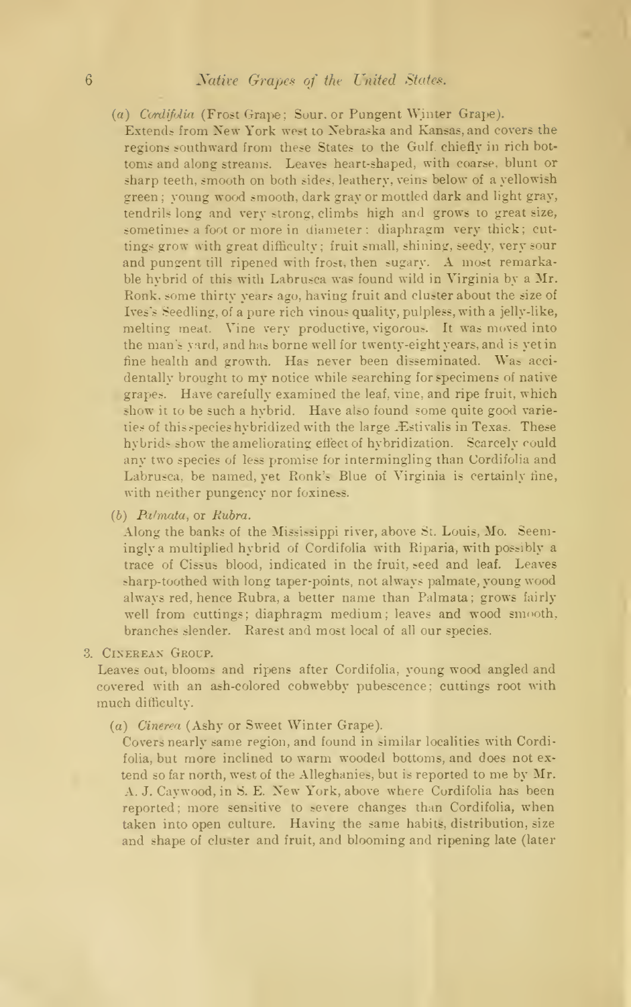- (a) Cordifolia (Frost Grape; Sour. or Pungent Winter Grape).
- Extend? from New York west to Nebraska and Kansas, and covers the regions southward from these States to the Gulf, chiefly in rich bot toms and along streams. Leaves heart-shaped, with coarse, blunt or sharp teeth, smooth on both sides, leathery, veins below of a yellowish green ; young wood smooth, dark gray or mottled dark and light gray, tendrils long and very strong, climbs high and grows to great size, sometimes a foot or more in diameter: diaphragm very thick: cuttings grow with great difficulty: fruit small, shining, seedy, very sour and pungent till ripened with frost, then sugary. A most remarkable hybrid of this with Labrusca was found wild in Virginia by a Mr. Ronk, some thirty years ago, having fruit and cluster about the size of Ives's Seedling, of a pure rich vinous quality, pulpless, with a jelly-like, melting meat. Vine very productive, vigorous. It was moved into the man's yard, and has borne well for twenty-eight years, and is yet in fine health and growth. Has never been disseminated. Was acci dentally brought to my notice while searching for specimens of native grapes. Have carefully examined the leaf, vine, and ripe fruit, which show it to be such a hybrid. Have also found some quite good varieties of this species hybridized with the large .Estivalis in Texas. These hybrids show the ameliorating effect of hybridization. Scarcely could any two species of less promise for intermingling than Cordifolia and Labrusca, be named, yet Ronk's Blue of Virginia is certainly fine, with neither pungency nor foxiness.
- $(b)$  Palmata, or Rubra.

Along the banks of the Mississippi river, above St. Louis, Mo. Seemingly a multiplied hybrid of Cordifolia with Riparia, with possibly a trace of Cissus blood, indicated in the fruit, seed and leaf. Leaves sharp-toothed with long taper-points, not always palmate, young wood always red, hence Rubra, a better name than Palmata; grows fairly well from cuttings: diaphragm medium: leaves and wood smooth, branches slender. Rarest and most local of all our species.

3. Cinereax Group.

Leaves out, blooms and ripens after Cordifolia, young wood angled and covered with an ash-colored cobwebby pubescence: cuttings root with much difficulty.

(a) Oinerea (Ashy or Sweet Winter Grape).

Covers nearly same region, and found in similar localities with Cordifolia, but more inclined to warm wooded bottoms, and does not ex tend so far north, west of the Alleghanies, but is reported to me by Mr. A. J. Caywood, in S. E. Xew York, above where Cordifolia has been reported; more sensitive to severe changes than Cordifolia, when taken into open culture. Having the same habits, distribution, size and shape of cluster and fruit, and blooming and ripening late (later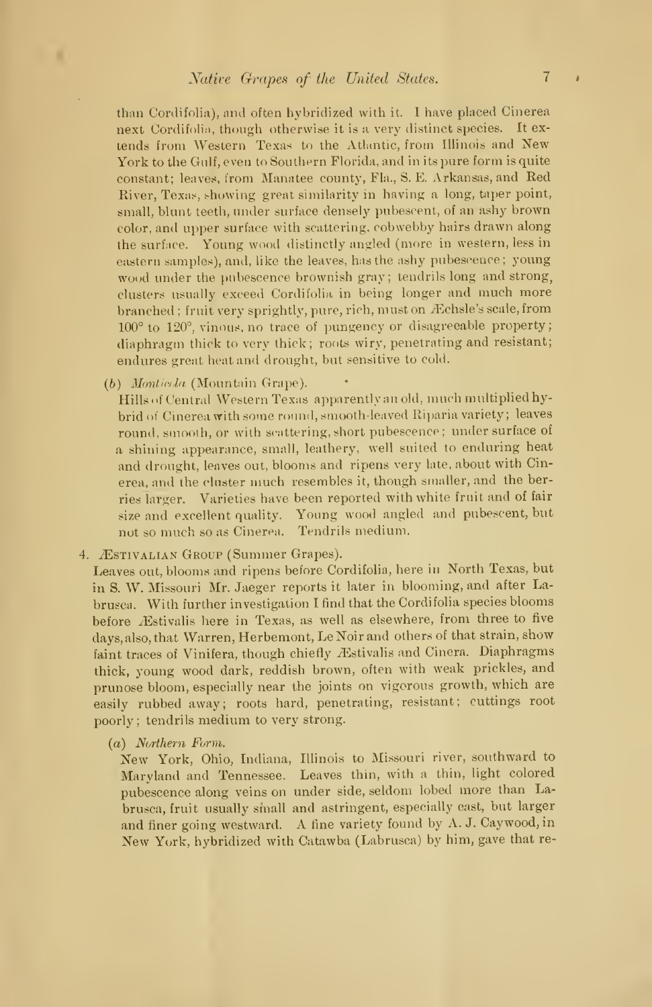than Cordifolia), and often hybridized with it. I have placed Cinerea next Cordifolia, though otherwise it is a very distinct species. It ex tends from Western Texas to the Atlantic, from Illinois and New York to the Gulf, even to Southern Florida, and in its pure form is quite constant; leaves, from Manatee county, Fla., S. E. Arkansas, and Red River, Texas, showing great similarity in having a long, taper point, small, blunt teeth, under surface densely pubescent, of an ashy brown color, and upper surface with scattering, cobwebby hairs drawn along the surface. Young wood distinctly angled (more in western, less in eastern samples), and, like the leaves, has the ashy pubescence; young wood under the pubescence brownish gray; tendrils long and strong, clusters usually exceed Cordifolia in being longer and much more branched; fruit very sprightly, pure, rich, must on Æchsle's scale, from 100° to 120°, vinous, no trace of pungency or disagreeable property; diaphragm thick to very thick; roots wiry, penetrating and resistant; endures great heat and drought, but sensitive to cold.

(b) Monticola (Mountain Grape).

Hills <>f Central Western Texas apparently an old, much multiplied hybrid of Cinerea with some round, smooth-leaved Riparia variety; leaves round, smooth, or with scattering, short pubescence; under surface of a shining appearance, small, leathery, well suited to enduring heat and drought, leaves out, blooms and ripens very late, about with Cinerea, and the cluster much resembles it, though smaller, and the berries larger. Varieties have been reported with white fruit and of fair size and excellent quality. Young wood angled and pubescent, but not so much so as Cinerea. Tendrils medium.

4. ÆSTIVALIAN GROUP (Summer Grapes).

Leaves out, blooms and ripens before Cordifolia, here in North Texas, but in S. W. Missouri Mr. Jaeger reports it later in blooming, and after Labrusca. With further investigation <sup>I</sup> find that the Cordifolia species blooms before Æstivalis here in Texas, as well as elsewhere, from three to five days, also, that Warren, Herbemont, Le Noir and others of that strain, show faint traces of Vinifera, though chiefly Æstivalis and Cinera. Diaphragms thick, young wood dark, reddish brown, often with weak prickles, and prunose bloom, especially near the joints on vigorous growth, which are easily rubbed away; roots hard, penetrating, resistant; cuttings root poorly ; tendrils medium to very strong.

(a) Northern Form.

New York, Ohio, Indiana, Illinois to Missouri river, southward to Maryland and Tennessee. Leaves thin, with <sup>a</sup> thin, light colored pubescence along veins on under side, seldom lobed more than Labrusca, fruit usually small and astringent, especially east, but larger and finer going westward. A fine variety found by A. J. Caywood, in New York, hybridized with Catawba (Labrusca) by him, gave that re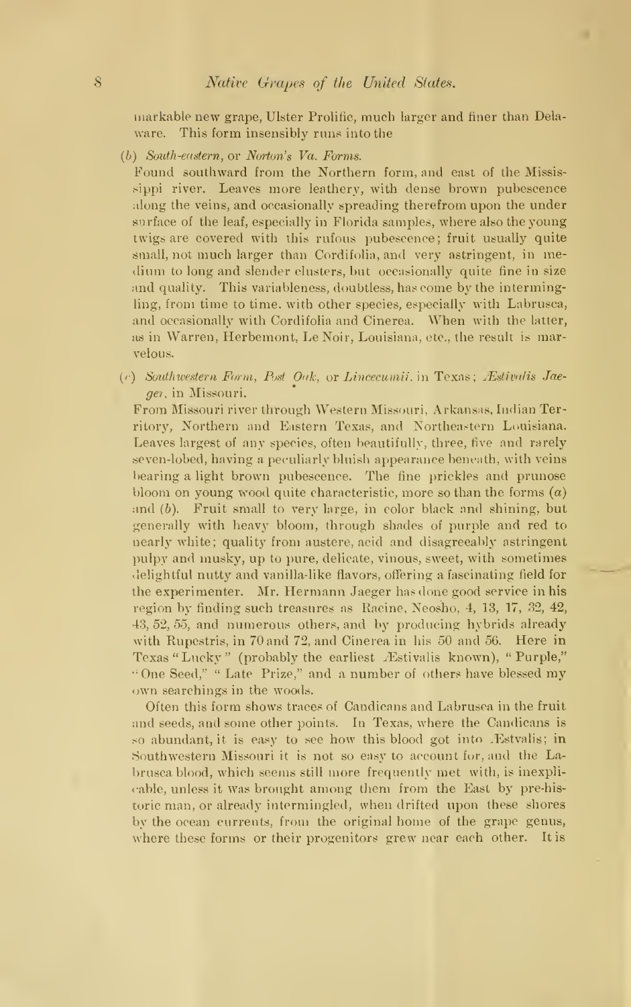markable new grape, Ulster Prolific, much larger and finer than Delaware. This form insensibly runs into the

(b) South-eastern, or Norton's Va. Forms.

Found southward from the Northern form, and east of the Mississippi river. Leaves more leathery, with dense brown pubescence along the veins, and occasionally spreading therefrom upon the under surface of the leaf, especially in Florida samples, where also the young twigs are covered with this rufous pubescence; fruit usually quite small, not much larger than Cordifolia, and very astringent, in me dium to long and slender clusters, but occasionally quite fine in size and quality. This variableness, doubtless, has come by the intermingling, from time to time, with other species, especially with Labrusca, and occasionally with Cordifolia and Cinerea. When with the latter, as in Warren, Herbemont, LeNoir, Louisiana, etc., the result is marvelous.

 $(c)$  Southwestern Form, Post Oak, or Lincecumii, in Texas; Æstivalis Jaeger, in Missouri.

From Missouri river through Western Missouri. Arkansas, Indian Territory, Northern and Eastern Texas, and Northeastern Louisiana. Leaves largest of any species, often beautifully, three, five and rarely seven-lobed, having a peculiarly bluish appearance beneath, with veins bearing a light brown pubescence. The fine prickles and prunose bloom on young wood quite characteristic, more so than the forms  $(a)$ and (b). Fruit small to very large, in color black and shining, but generally with heavy bloom, through shades of purple and red to nearly white; quality from austere, acid and disagreeably astringent pulpy and musky, up to pure, delicate, vinous, sweet, with sometimes delightful nutty and vanilla-like flavors, offering a fascinating field for the experimenter. Mr. Hermann Jaeger has done good service in his region by finding such treasures as Racine, Neosho, 4, 13, 17, 32, 42, 43, 52, 55, and numerous others, and by producing hybrids already with Rupestris, in 70 and 72, and Cinerea in his 50 and 56. Here in Texas "Lucky" (probably the earliest Æstivalis known), "Purple," "One Seed," " Late Prize," and <sup>a</sup> number of others have blessed my own searchings in the woods.

Often this form shows traces of Candicans and Labrusca in the fruit and seeds, and some other points. In Texas, where the Candicans is so abundant, it is easy to see how this blood got into .Estvalis; in Southwestern Missouri it is not so easy to account for, and the Labrusca blood, which seems still more frequently met with, is inexplicable, unless it was brought among them from the East by pre-historic man, or already intermingled, when drifted upon these shores by the ocean currents, from the original home of the grape genus, where these forms or their progenitors grew near each other. It is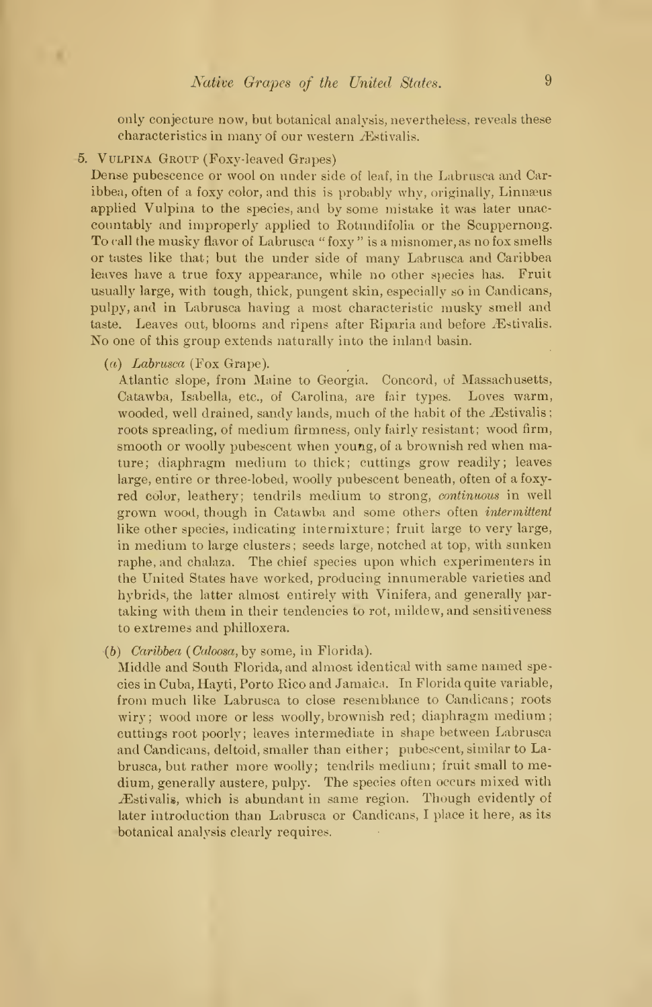only conjecture now, but botanical analysis, nevertheless, reveals these characteristics in many of our western Æstivalis.

. Vulpina Group (Foxy-leaved Grapes)

Dense pubescence or wool on under side of leaf, in the Labrusca and Caribbea, often of a foxy color, and this is probably why, originally, Linnaeus applied Vulpina to the species, and by some mistake it was later unac countably and improperly applied to Rotundifolia or the Scuppernong. To call the musky flavor of Labrusca " foxy " is a misnomer, as no fox smells or tastes like that; but the under side of many Labrusca and Caribbea leaves have a true foxy appearance, while no other species has. Fruit usually large, with tough, thick, pungent skin, especially so in Candicans, pulpy, and in Labrusca having a most characteristic musky smell and taste. Leaves out, blooms and ripens after Riparia and before Æstivalis. No one of this group extends naturally into the inland basin.

 $(a)$  Labrusca (Fox Grape).

Atlantic slope, from Maine to Georgia. Concord, of Massachusetts, Catawba, Isabella, etc., of Carolina, are fair types. Loves warm, wooded, well drained, sandy lands, much of the habit of the *Æstivalis* ; roots spreading, of medium firmness, only fairly resistant; wood firm, smooth or woolly pubescent when young, of a brownish red when mature; diaphragm medium to thick; cuttings grow readily; leaves large, entire or three-lobed, woolly pubescent beneath, often of a foxy red color, leathery; tendrils medium to strong, continuous in well grown wood, though in Catawba and some others often *intermittent* like other species, indicating intermixture; fruit large to very large, in medium to large clusters; seeds large, notched at top, with sunken raphe, and chalaza. The chief species upon which experimenters in the United States have worked, producing innumerable varieties and hybrids, the latter almost entirely with Vinifera, and generally par taking with them in their tendencies to rot, mildew, and sensitiveness to extremes and philloxera.

(b) Caribbea (Caloosa, by some, in Florida).

Middle and South Florida, and almost identical with same named species in Cuba, Hayti, Porto Rico and Jamaica. In Florida quite variable, from much like Labrusca to close resemblance to Candicans; roots wiry; wood more or less woolly, brownish red; diaphragm medium; cuttings root poorly; leaves intermediate in shape between Labrusca and Candicans, deltoid, smaller than either; pubescent, similar to Labrusca, but rather more woolly; tendrils medium; fruit small to medium, generally austere, pulpy. The species often occurs mixed with iEstivalis, which is abundant in same region. Though evidently of later introduction than Labrusca or Candicans, <sup>I</sup> place it here, as its •botanical analysis clearly requires.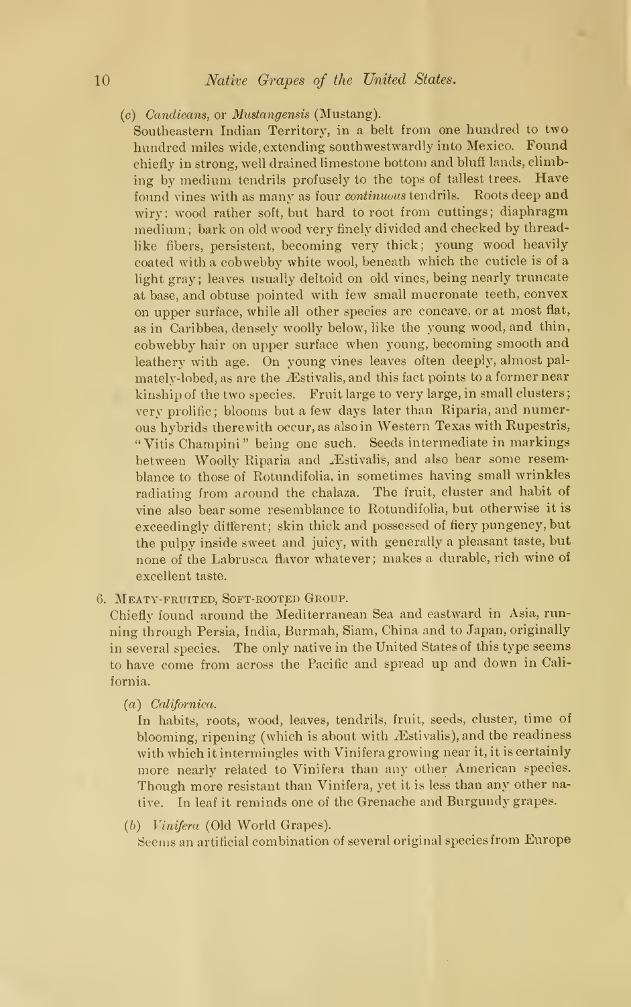$(c)$  Candicans, or Mustangensis (Mustang).

Southeastern Indian Territory, in a belt from one hundred to two hundred miles wide, extending southwestwardly into Mexico. Found chiefly in strong, well drained limestone bottom and bluff lands, climbing by medium tendrils profusely to the tops of tallest trees. Have found vines with as many as four *continuous* tendrils. Roots deep and wiry; wood rather soft, but hard to root from cuttings; diaphragm medium ; bark on old wood very finely divided and checked by threadlike fibers, persistent, becoming very thick; young wood heavily coated with a cobwebby white wool, beneath which the cuticle is of a light gray; leaves usually deltoid on old vines, being nearly truncate at base, and obtuse pointed with few small mucronate teeth, convex on upper surface, while all other species are concave, or at most flat, as in Caribbea, densely woolly below, like the young wood, and thin, cobwebby hair on upper surface when young, becoming smooth and leathery with age. On young vines leaves often deeply, almost palmately-lobed, as are the *Estivalis*, and this fact points to a former near kinship of the two species. Fruit large to very large, in small clusters very prolific; blooms but a few days later than Riparia, and numerous hybrids therewith occur, as also in Western Texas with Rupestris, " Vitis Champini " being one such. Seeds intermediate in markings between Woolly Riparia and Æstivalis, and also bear some resemblance to those of Rotundifolia, in sometimes having small wrinkles radiating from around the chalaza. The fruit, cluster and habit of vine also bear some resemblance to Rotundifolia, but otherwise it is exceedingly different; skin thick and possessed of fiery pungency, but the pulpy inside sweet and juicy, with generally a pleasant taste, but none of the Labrusca flavor whatever; makes a durable, rich wine of excellent taste.

6. Meaty-fruited, Soft-rooted Group.

Chiefly found around the Mediterranean Sea and eastward in Asia, run ning through Persia, India, Burmah, Siam, China and to Japan, originally in several species. The only native in the United States of this type seems to have come from across the Pacific and spread up and down in California.

(a) Californica.

In habits, roots, wood, leaves, tendrils, fruit, seeds, cluster, time of blooming, ripening (which is about with *Æstivalis*), and the readiness with which it intermingles with Vinifera growing near it, it is certainly more nearly related to Vinifera than any other American species. Though more resistant than Vinifera, yet it is less than any other native. In leaf it reminds one of the Grenache and Burgundy grapes.

(b) Vinifera (Old World Grapes).

Seems an artificial combination of several original species from Europe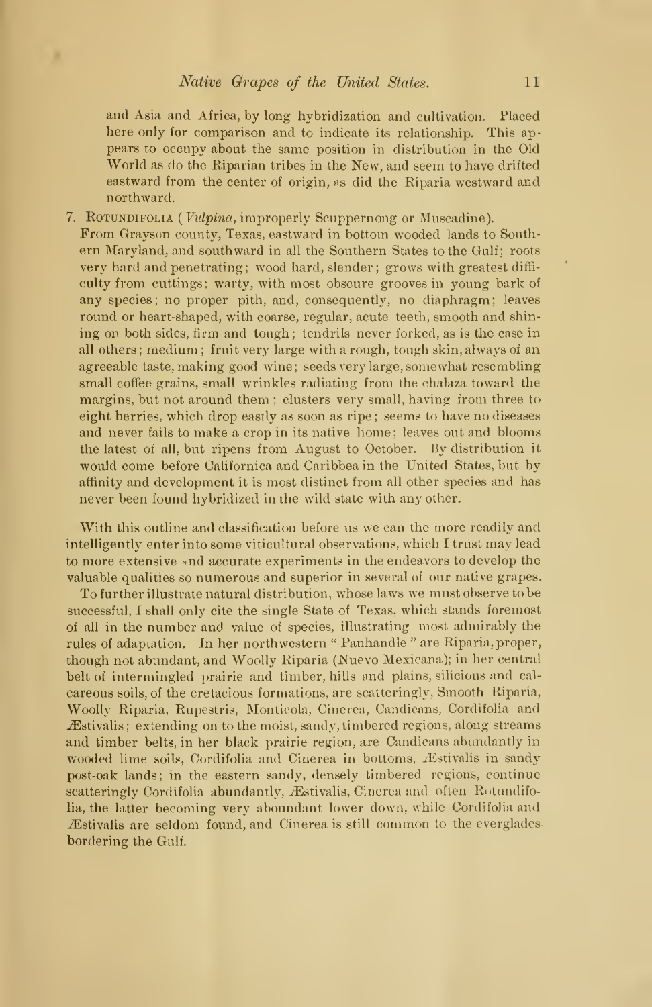and Asia and Africa, by long hybridization and cultivation. Placed here only for comparison and to indicate its relationship. This ap pears to occupy about the same position in distribution in the Old World as do the Riparian tribes in the New, and seem to have drifted eastward from the center of origin, as did the Riparia westward and northward.

7. Rotundifolia ( Vulpina, improperly Scuppernong or Muscadine).

From Grayson county, Texas, eastward in bottom wooded lands to South ern Maryland, and southward in all the Southern States to the Gulf; roots very hard and penetrating; wood hard, slender; grows with greatest diffi culty from cuttings; warty, with most obscure grooves in young bark of any species; no proper pith, and, consequently, no diaphragm; leaves round or heart-shaped, with coarse, regular, acute teeth, smooth and shin ing on both sides, firm and tough; tendrils never forked, as is the case in all others ; medium ; fruit very large with a rough, tough skin, always of an agreeable taste, making good wine; seeds very large, somewhat resembling small coffee grains, small wrinkles radiating from the chalaza toward the margins, but not around them ; clusters very small, having from three to eight berries, which drop easily as soon as ripe; seems to have no diseases and never fails to make a crop in its native home; leaves out and blooms the latest of all, but ripens from August to October. By distribution it would come before Californica and Caribbea in the United States, but by affinity and development it is most distinct from all other species and has never been found hybridized in the wild state with any other.

With this outline and classification before us we can the more readily and intelligently enter into some viticultural observations, which <sup>I</sup> trust may lead to more extensive «nd accurate experiments in the endeavors to develop the valuable qualities so numerous and superior in several of our native grapes.

To further illustrate natural distribution, whose laws we must observe to be successful, <sup>I</sup> shall only cite the single State of Texas, which stands foremost of all in the number and value of species, illustrating most admirably the rules of adaptation. In her northwestern " Panhandle " are Riparia, proper, though not abundant, and Woolly Riparia (Nuevo Mexicana); in her central belt of intermingled prairie and timber, hills and plains, silicious and cal careous soils, of the cretacious formations, are scatteringly, Smooth Riparia, Woolly Riparia, Rupestris, Monticola, Cinerea, Candicans, Cordifolia and  $\mathcal{F}$ stivalis; extending on to the moist, sandy, timbered regions, along streams and timber belts, in her black prairie region, are Candicans abundantly in wooded lime soils, Cordifolia and Cinerea in bottoms, Æstivalis in sandy post-oak lands; in the eastern sandy, densely timbered regions, continue scatteringly Cordifolia abundantly, Æstivalis, Cinerea and often Rotundifolia, the latter becoming very aboundant lower down, while Cordifolia and Æstivalis are seldom found, and Cinerea is still common to the everglades bordering the Gulf.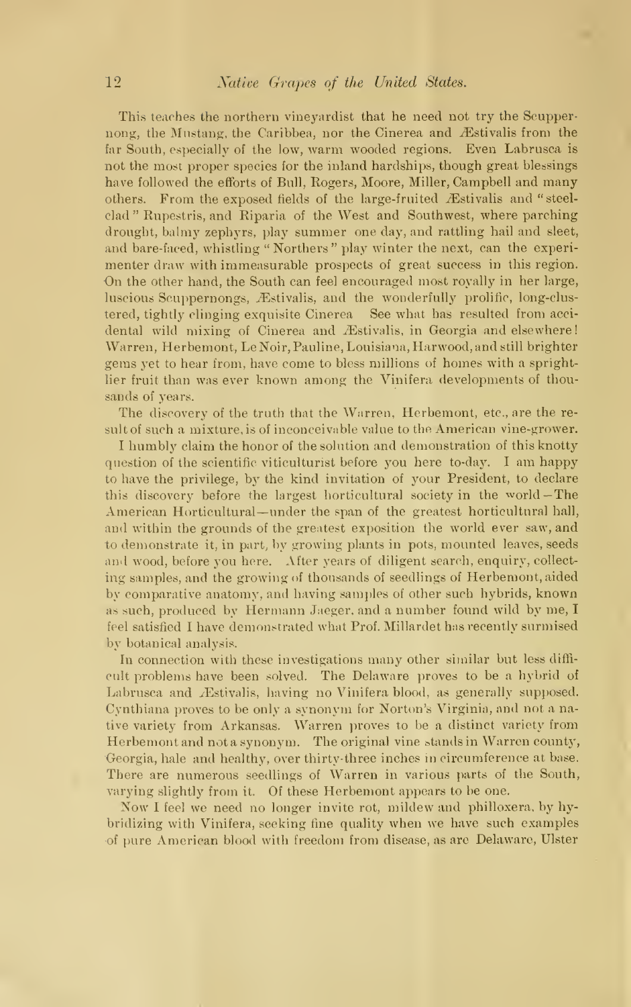This teaches the northern vineyardist that he need not try the Scuppernong, the Mustang, the Caribbea, nor the Cinerea and Æstivalis from the far South, especially of the low, warm wooded regions. Even Labrusca is not the most proper species for the inland hardships, though great blessings have followed the efforts of Bull, Rogers, Moore, Miller, Campbell and many others. From the exposed fields of the large-fruited Æstivalis and "steelclad " Rupestris, and Riparia of the West and Southwest, where parching drought, balmy zephyrs, play summer one day, and rattling hail and sleet, and bare-faced, whistling " Northers " play winter the next, can the experi menter draw with immeasurable prospects of great success in this region. On the other hand, the South can feel encouraged most royally in her large, luscious Scuppernongs, Æstivalis, and the wonderfully prolific, long-clustered, tightly clinging exquisite Cinerea See what has resulted from acci dental wild mixing of Cinerea and Æstivalis, in Georgia and elsewhere! Warren, Herbemont, LeNoir, Pauline, Louisiana, Harwood, and still brighter gems yet to hear from, have come to bless millions of homes with a sprightlier fruit than was ever known among the Vinifera developments of thou sands of years.

The discovery of the truth that the Warren, Herbemont, etc., are the result of such a mixture, is of inconceivable value to the American vine-grower.

<sup>I</sup> humbly claim the honor of the solution and demonstration of this knotty question of the scientific viticulturist before you here to-day. <sup>I</sup> am happy to have the privilege, by the kind invitation of your President, to declare this discovery before the largest horticultural society in the world — The American Horticultural-under the span of the greatest horticultural hall, and within the grounds of the greatest exposition the world ever saw, and to demonstrate it, in part, by growing plants in pots, mounted leaves, seeds and wood, before you here. After years of diligent search, enquiry, collect ing samples, and the growing of thousands of seedlings of Herbemont, aided by comparative anatomy, and having samples of other such hybrids, known as such, produced by Hermann Jaeger, and a number found wild by me,  $I$ feel satisfied <sup>I</sup> have demonstrated what Prof. Millardet has recently surmised by botanical analysis.

In connection with these investigations many other similar but less diffi cult problems have been solved. The Delaware proves to be a hybrid of Labrusca and Æstivalis, having no Vinifera blood, as generally supposed. Cynthiana proves to be only a synonym for Norton's Virginia, and not a native variety from Arkansas. Warren proves to be a distinct variety from Herbemont and not a synonym. The original vine stands in Warren county, Georgia, hale and healthy, over thirty-three inches in circumference at base. There are numerous seedlings of Warren in various parts of the South, varying slightly from it. Of these Herbemont appears to be one.

Now <sup>I</sup> feel we need no longer invite rot, mildew and philloxera, by hybridizing with Vinifera, seeking fine quality when we have such examples of pure American blood with freedom from disease, as are Delaware, Ulster